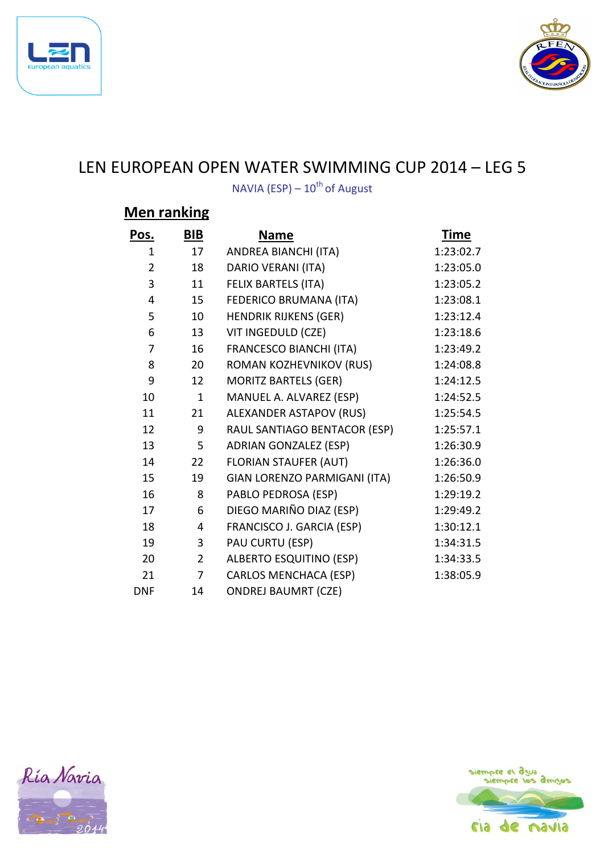



## LEN EUROPEAN OPEN WATER SWIMMING CUP 2014 – LEG 5

NAVIA (ESP) –  $10^{th}$  of August

## **Men ranking**

| Pos.           | BIB            | <b>Name</b>                    | <b>Time</b> |
|----------------|----------------|--------------------------------|-------------|
| 1              | 17             | ANDREA BIANCHI (ITA)           | 1:23:02.7   |
| $\overline{2}$ | 18             | DARIO VERANI (ITA)             | 1:23:05.0   |
| 3              | 11             | FELIX BARTELS (ITA)            | 1:23:05.2   |
| 4              | 15             | FEDERICO BRUMANA (ITA)         | 1:23:08.1   |
| 5              | 10             | <b>HENDRIK RIJKENS (GER)</b>   | 1:23:12.4   |
| 6              | 13             | VIT INGEDULD (CZE)             | 1:23:18.6   |
| $\overline{7}$ | 16             | <b>FRANCESCO BIANCHI (ITA)</b> | 1:23:49.2   |
| 8              | 20             | ROMAN KOZHEVNIKOV (RUS)        | 1:24:08.8   |
| 9              | 12             | <b>MORITZ BARTELS (GER)</b>    | 1:24:12.5   |
| 10             | $\mathbf{1}$   | MANUEL A. ALVAREZ (ESP)        | 1:24:52.5   |
| 11             | 21             | ALEXANDER ASTAPOV (RUS)        | 1:25:54.5   |
| 12             | 9              | RAUL SANTIAGO BENTACOR (ESP)   | 1:25:57.1   |
| 13             | 5              | <b>ADRIAN GONZALEZ (ESP)</b>   | 1:26:30.9   |
| 14             | 22             | <b>FLORIAN STAUFER (AUT)</b>   | 1:26:36.0   |
| 15             | 19             | GIAN LORENZO PARMIGANI (ITA)   | 1:26:50.9   |
| 16             | 8              | PABLO PEDROSA (ESP)            | 1:29:19.2   |
| 17             | 6              | DIEGO MARIÑO DIAZ (ESP)        | 1:29:49.2   |
| 18             | 4              | FRANCISCO J. GARCIA (ESP)      | 1:30:12.1   |
| 19             | 3              | PAU CURTU (ESP)                | 1:34:31.5   |
| 20             | $\overline{2}$ | <b>ALBERTO ESQUITINO (ESP)</b> | 1:34:33.5   |
| 21             | $\overline{7}$ | <b>CARLOS MENCHACA (ESP)</b>   | 1:38:05.9   |
| <b>DNF</b>     | 14             | <b>ONDREJ BAUMRT (CZE)</b>     |             |